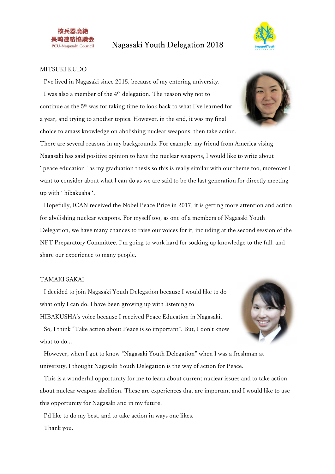



#### MITSUKI KUDO

I've lived in Nagasaki since 2015, because of my entering university. I was also a member of the 4<sup>th</sup> delegation. The reason why not to continue as the 5th was for taking time to look back to what I've learned for a year, and trying to another topics. However, in the end, it was my final choice to amass knowledge on abolishing nuclear weapons, then take action.

There are several reasons in my backgrounds. For example, my friend from America vising Nagasaki has said positive opinion to have the nuclear weapons, I would like to write about ' peace education ' as my graduation thesis so this is really similar with our theme too, moreover I want to consider about what I can do as we are said to be the last generation for directly meeting up with ' hibakusha '.

Hopefully, ICAN received the Nobel Peace Prize in 2017, it is getting more attention and action for abolishing nuclear weapons. For myself too, as one of a members of Nagasaki Youth Delegation, we have many chances to raise our voices for it, including at the second session of the NPT Preparatory Committee. I'm going to work hard for soaking up knowledge to the full, and share our experience to many people.

#### TAMAKI SAKAI

what to do...

I decided to join Nagasaki Youth Delegation because I would like to do what only I can do. I have been growing up with listening to HIBAKUSHA's voice because I received Peace Education in Nagasaki.





However, when I got to know "Nagasaki Youth Delegation" when I was a freshman at university, I thought Nagasaki Youth Delegation is the way of action for Peace.

This is a wonderful opportunity for me to learn about current nuclear issues and to take action about nuclear weapon abolition. These are experiences that are important and I would like to use this opportunity for Nagasaki and in my future.

I'd like to do my best, and to take action in ways one likes.

Thank you.

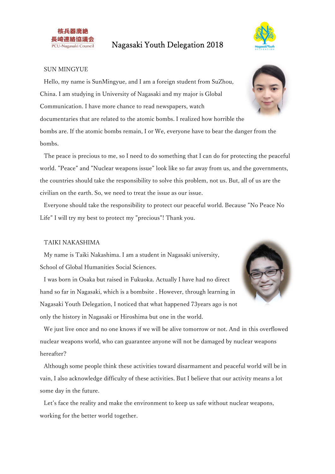



#### SUN MINGYUE

Hello, my name is SunMingyue, and I am a foreign student from SuZhou, China. I am studying in University of Nagasaki and my major is Global Communication. I have more chance to read newspapers, watch documentaries that are related to the atomic bombs. I realized how horrible the bombs are. If the atomic bombs remain, I or We, everyone have to bear the danger from the bombs.

The peace is precious to me, so I need to do something that I can do for protecting the peaceful world. "Peace" and "Nuclear weapons issue" look like so far away from us, and the governments, the countries should take the responsibility to solve this problem, not us. But, all of us are the civilian on the earth. So, we need to treat the issue as our issue.

Everyone should take the responsibility to protect our peaceful world. Because "No Peace No Life" I will try my best to protect my "precious"! Thank you.

#### TAIKI NAKASHIMA

My name is Taiki Nakashima. I am a student in Nagasaki university, School of Global Humanities Social Sciences.

I was born in Osaka but raised in Fukuoka. Actually I have had no direct hand so far in Nagasaki, which is a bombsite . However, through learning in Nagasaki Youth Delegation, I noticed that what happened 73years ago is not only the history in Nagasaki or Hiroshima but one in the world.



We just live once and no one knows if we will be alive tomorrow or not. And in this overflowed nuclear weapons world, who can guarantee anyone will not be damaged by nuclear weapons hereafter?

Although some people think these activities toward disarmament and peaceful world will be in vain, I also acknowledge difficulty of these activities. But I believe that our activity means a lot some day in the future.

Let's face the reality and make the environment to keep us safe without nuclear weapons, working for the better world together.

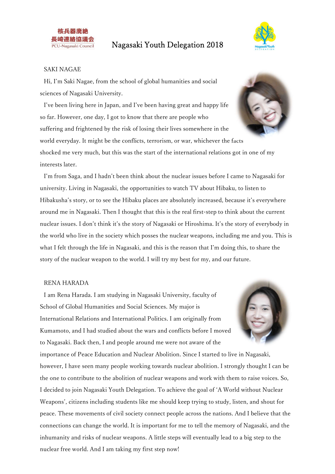



### SAKI NAGAE

Hi, I'm Saki Nagae, from the school of global humanities and social sciences of Nagasaki University.

I've been living here in Japan, and I've been having great and happy life so far. However, one day, I got to know that there are people who suffering and frightened by the risk of losing their lives somewhere in the world everyday. It might be the conflicts, terrorism, or war, whichever the facts shocked me very much, but this was the start of the international relations got in one of my interests later.

I'm from Saga, and I hadn't been think about the nuclear issues before I came to Nagasaki for university. Living in Nagasaki, the opportunities to watch TV about Hibaku, to listen to Hibakusha's story, or to see the Hibaku places are absolutely increased, because it's everywhere around me in Nagasaki. Then I thought that this is the real first-step to think about the current nuclear issues. I don't think it's the story of Nagasaki or Hiroshima. It's the story of everybody in the world who live in the society which posses the nuclear weapons, including me and you. This is what I felt through the life in Nagasaki, and this is the reason that I'm doing this, to share the story of the nuclear weapon to the world. I will try my best for my, and our future.

### RENA HARADA

I am Rena Harada. I am studying in Nagasaki University, faculty of School of Global Humanities and Social Sciences. My major is International Relations and International Politics. I am originally from Kumamoto, and I had studied about the wars and conflicts before I moved to Nagasaki. Back then, I and people around me were not aware of the



importance of Peace Education and Nuclear Abolition. Since I started to live in Nagasaki, however, I have seen many people working towards nuclear abolition. I strongly thought I can be the one to contribute to the abolition of nuclear weapons and work with them to raise voices. So, I decided to join Nagasaki Youth Delegation. To achieve the goal of 'A World without Nuclear Weapons', citizens including students like me should keep trying to study, listen, and shout for peace. These movements of civil society connect people across the nations. And I believe that the connections can change the world. It is important for me to tell the memory of Nagasaki, and the inhumanity and risks of nuclear weapons. A little steps will eventually lead to a big step to the nuclear free world. And I am taking my first step now!